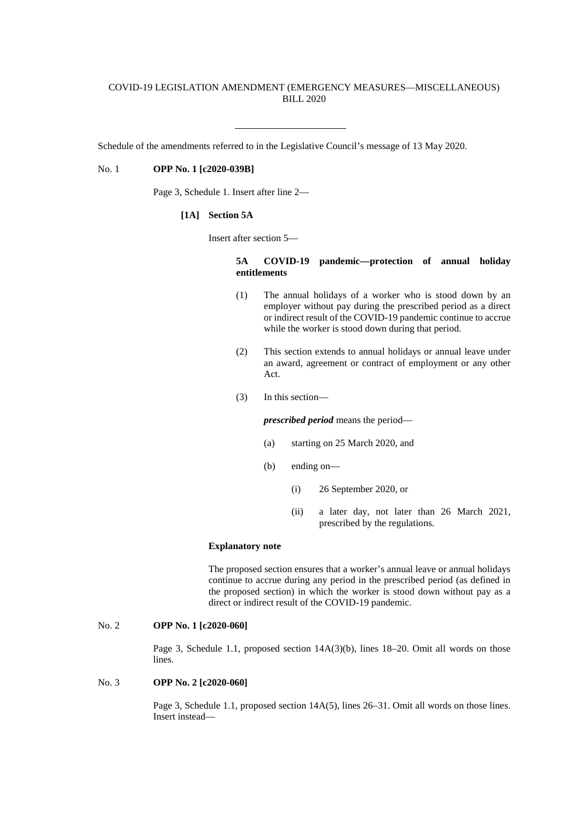# COVID-19 LEGISLATION AMENDMENT (EMERGENCY MEASURES—MISCELLANEOUS) BILL 2020

Schedule of the amendments referred to in the Legislative Council's message of 13 May 2020.

# No. 1 **OPP No. 1 [c2020-039B]**

Page 3, Schedule 1. Insert after line 2—

#### **[1A] Section 5A**

Insert after section 5—

# **5A COVID-19 pandemic—protection of annual holiday entitlements**

- (1) The annual holidays of a worker who is stood down by an employer without pay during the prescribed period as a direct or indirect result of the COVID-19 pandemic continue to accrue while the worker is stood down during that period.
- (2) This section extends to annual holidays or annual leave under an award, agreement or contract of employment or any other Act.
- (3) In this section—

*prescribed period* means the period—

- (a) starting on 25 March 2020, and
- (b) ending on—
	- (i) 26 September 2020, or
	- (ii) a later day, not later than 26 March 2021, prescribed by the regulations.

# **Explanatory note**

The proposed section ensures that a worker's annual leave or annual holidays continue to accrue during any period in the prescribed period (as defined in the proposed section) in which the worker is stood down without pay as a direct or indirect result of the COVID-19 pandemic.

#### No. 2 **OPP No. 1 [c2020-060]**

Page 3, Schedule 1.1, proposed section 14A(3)(b), lines 18–20. Omit all words on those lines.

## No. 3 **OPP No. 2 [c2020-060]**

Page 3, Schedule 1.1, proposed section 14A(5), lines 26–31. Omit all words on those lines. Insert instead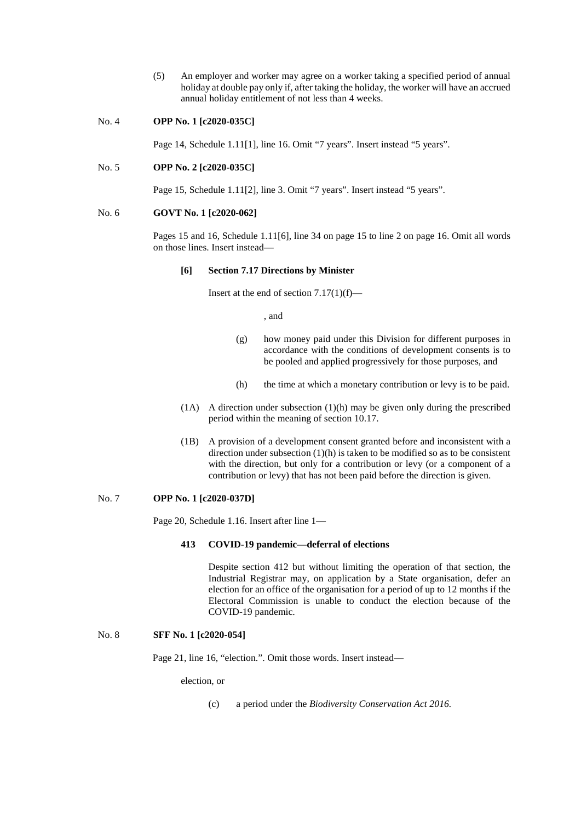(5) An employer and worker may agree on a worker taking a specified period of annual holiday at double pay only if, after taking the holiday, the worker will have an accrued annual holiday entitlement of not less than 4 weeks.

# No. 4 **OPP No. 1 [c2020-035C]**

Page 14, Schedule 1.11[1], line 16. Omit "7 years". Insert instead "5 years".

# No. 5 **OPP No. 2 [c2020-035C]**

Page 15, Schedule 1.11<sup>[2]</sup>, line 3. Omit "7 years". Insert instead "5 years".

#### No. 6 **GOVT No. 1 [c2020-062]**

Pages 15 and 16, Schedule 1.11[6], line 34 on page 15 to line 2 on page 16. Omit all words on those lines. Insert instead—

#### **[6] Section 7.17 Directions by Minister**

Insert at the end of section  $7.17(1)(f)$ —

, and

- (g) how money paid under this Division for different purposes in accordance with the conditions of development consents is to be pooled and applied progressively for those purposes, and
- (h) the time at which a monetary contribution or levy is to be paid.
- (1A) A direction under subsection (1)(h) may be given only during the prescribed period within the meaning of section 10.17.
- (1B) A provision of a development consent granted before and inconsistent with a direction under subsection  $(1)(h)$  is taken to be modified so as to be consistent with the direction, but only for a contribution or levy (or a component of a contribution or levy) that has not been paid before the direction is given.

### No. 7 **OPP No. 1 [c2020-037D]**

Page 20, Schedule 1.16. Insert after line 1—

#### **413 COVID-19 pandemic—deferral of elections**

Despite section 412 but without limiting the operation of that section, the Industrial Registrar may, on application by a State organisation, defer an election for an office of the organisation for a period of up to 12 months if the Electoral Commission is unable to conduct the election because of the COVID-19 pandemic.

# No. 8 **SFF No. 1 [c2020-054]**

Page 21, line 16, "election.". Omit those words. Insert instead—

election, or

(c) a period under the *Biodiversity Conservation Act 2016.*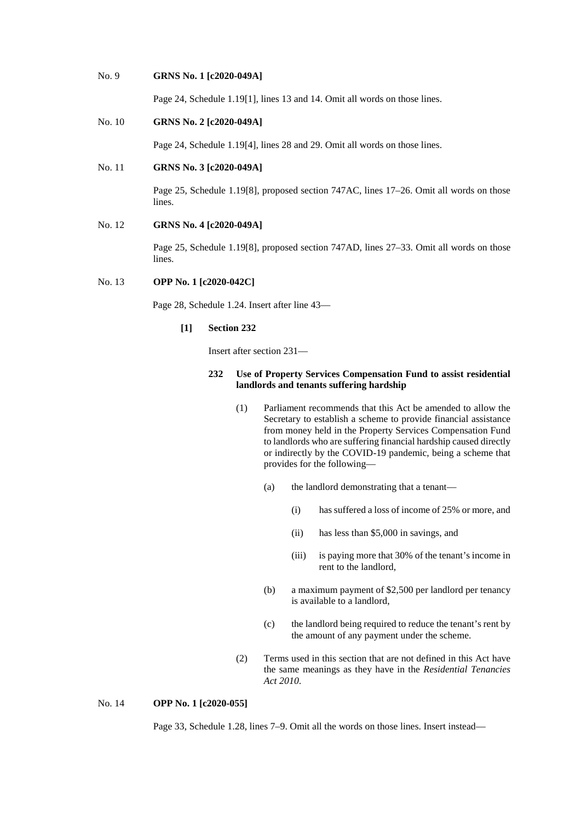#### No. 9 **GRNS No. 1 [c2020-049A]**

Page 24, Schedule 1.19[1], lines 13 and 14. Omit all words on those lines.

# No. 10 **GRNS No. 2 [c2020-049A]**

Page 24, Schedule 1.19[4], lines 28 and 29. Omit all words on those lines.

# No. 11 **GRNS No. 3 [c2020-049A]**

Page 25, Schedule 1.19[8], proposed section 747AC, lines 17–26. Omit all words on those lines.

## No. 12 **GRNS No. 4 [c2020-049A]**

Page 25, Schedule 1.19[8], proposed section 747AD, lines 27–33. Omit all words on those lines.

# No. 13 **OPP No. 1 [c2020-042C]**

Page 28, Schedule 1.24. Insert after line 43—

# **[1] Section 232**

Insert after section 231—

## **232 Use of Property Services Compensation Fund to assist residential landlords and tenants suffering hardship**

- (1) Parliament recommends that this Act be amended to allow the Secretary to establish a scheme to provide financial assistance from money held in the Property Services Compensation Fund to landlords who are suffering financial hardship caused directly or indirectly by the COVID-19 pandemic, being a scheme that provides for the following—
	- (a) the landlord demonstrating that a tenant—
		- (i) has suffered a loss of income of 25% or more, and
		- (ii) has less than \$5,000 in savings, and
		- (iii) is paying more that 30% of the tenant's income in rent to the landlord,
	- (b) a maximum payment of \$2,500 per landlord per tenancy is available to a landlord,
	- (c) the landlord being required to reduce the tenant's rent by the amount of any payment under the scheme.
- (2) Terms used in this section that are not defined in this Act have the same meanings as they have in the *Residential Tenancies Act 2010*.

#### No. 14 **OPP No. 1 [c2020-055]**

Page 33, Schedule 1.28, lines 7–9. Omit all the words on those lines. Insert instead—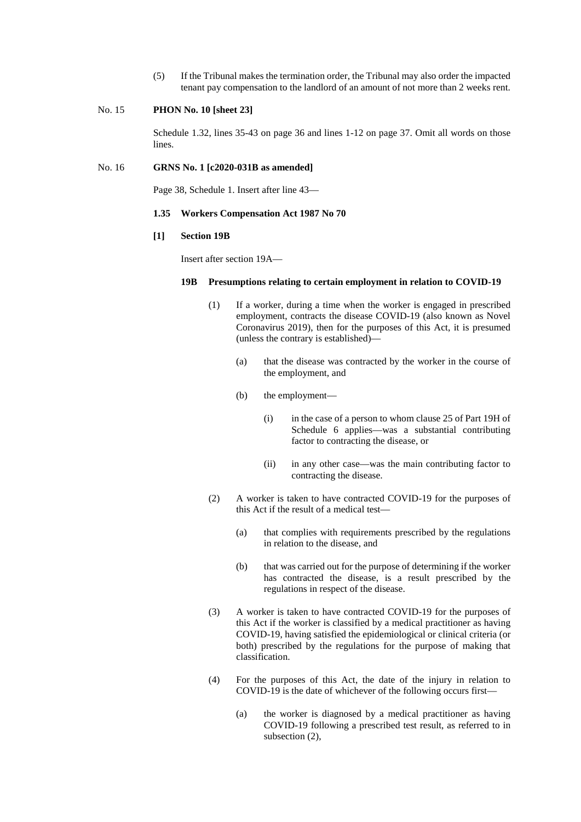(5) If the Tribunal makes the termination order, the Tribunal may also order the impacted tenant pay compensation to the landlord of an amount of not more than 2 weeks rent.

## No. 15 **PHON No. 10 [sheet 23]**

Schedule 1.32, lines 35-43 on page 36 and lines 1-12 on page 37. Omit all words on those lines.

#### No. 16 **GRNS No. 1 [c2020-031B as amended]**

Page 38, Schedule 1. Insert after line 43—

#### **1.35 Workers Compensation Act 1987 No 70**

#### **[1] Section 19B**

Insert after section 19A—

## **19B Presumptions relating to certain employment in relation to COVID-19**

- (1) If a worker, during a time when the worker is engaged in prescribed employment, contracts the disease COVID-19 (also known as Novel Coronavirus 2019), then for the purposes of this Act, it is presumed (unless the contrary is established)—
	- (a) that the disease was contracted by the worker in the course of the employment, and
	- (b) the employment—
		- (i) in the case of a person to whom clause 25 of Part 19H of Schedule 6 applies—was a substantial contributing factor to contracting the disease, or
		- (ii) in any other case—was the main contributing factor to contracting the disease.
- (2) A worker is taken to have contracted COVID-19 for the purposes of this Act if the result of a medical test—
	- (a) that complies with requirements prescribed by the regulations in relation to the disease, and
	- (b) that was carried out for the purpose of determining if the worker has contracted the disease, is a result prescribed by the regulations in respect of the disease.
- (3) A worker is taken to have contracted COVID-19 for the purposes of this Act if the worker is classified by a medical practitioner as having COVID-19, having satisfied the epidemiological or clinical criteria (or both) prescribed by the regulations for the purpose of making that classification.
- (4) For the purposes of this Act, the date of the injury in relation to COVID-19 is the date of whichever of the following occurs first—
	- (a) the worker is diagnosed by a medical practitioner as having COVID-19 following a prescribed test result, as referred to in subsection (2),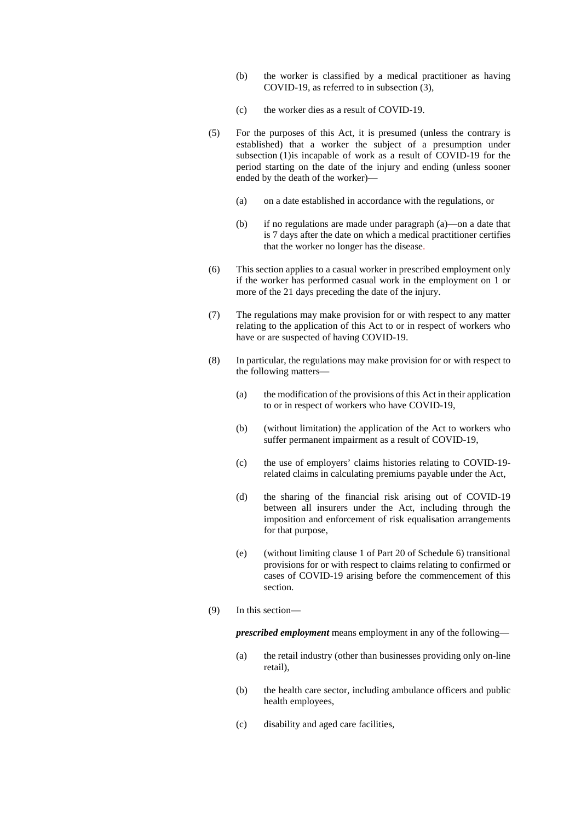- (b) the worker is classified by a medical practitioner as having COVID-19, as referred to in subsection (3),
- (c) the worker dies as a result of COVID-19.
- (5) For the purposes of this Act, it is presumed (unless the contrary is established) that a worker the subject of a presumption under subsection (1)is incapable of work as a result of COVID-19 for the period starting on the date of the injury and ending (unless sooner ended by the death of the worker)—
	- (a) on a date established in accordance with the regulations, or
	- (b) if no regulations are made under paragraph (a)—on a date that is 7 days after the date on which a medical practitioner certifies that the worker no longer has the disease.
- (6) This section applies to a casual worker in prescribed employment only if the worker has performed casual work in the employment on 1 or more of the 21 days preceding the date of the injury.
- (7) The regulations may make provision for or with respect to any matter relating to the application of this Act to or in respect of workers who have or are suspected of having COVID-19.
- (8) In particular, the regulations may make provision for or with respect to the following matters—
	- (a) the modification of the provisions of this Act in their application to or in respect of workers who have COVID-19,
	- (b) (without limitation) the application of the Act to workers who suffer permanent impairment as a result of COVID-19,
	- (c) the use of employers' claims histories relating to COVID-19 related claims in calculating premiums payable under the Act,
	- (d) the sharing of the financial risk arising out of COVID-19 between all insurers under the Act, including through the imposition and enforcement of risk equalisation arrangements for that purpose,
	- (e) (without limiting clause 1 of Part 20 of Schedule 6) transitional provisions for or with respect to claims relating to confirmed or cases of COVID-19 arising before the commencement of this section.
- (9) In this section—

*prescribed employment* means employment in any of the following—

- (a) the retail industry (other than businesses providing only on-line retail),
- (b) the health care sector, including ambulance officers and public health employees,
- (c) disability and aged care facilities,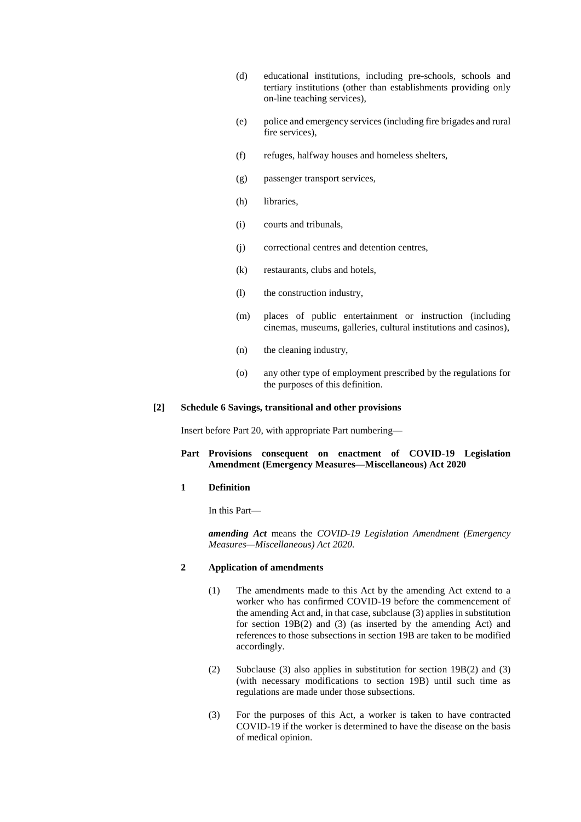- (d) educational institutions, including pre-schools, schools and tertiary institutions (other than establishments providing only on-line teaching services),
- (e) police and emergency services (including fire brigades and rural fire services),
- (f) refuges, halfway houses and homeless shelters,
- (g) passenger transport services,
- (h) libraries,
- (i) courts and tribunals,
- (j) correctional centres and detention centres,
- (k) restaurants, clubs and hotels,
- (l) the construction industry,
- (m) places of public entertainment or instruction (including cinemas, museums, galleries, cultural institutions and casinos),
- (n) the cleaning industry,
- (o) any other type of employment prescribed by the regulations for the purposes of this definition.

# **[2] Schedule 6 Savings, transitional and other provisions**

Insert before Part 20, with appropriate Part numbering—

# **Part Provisions consequent on enactment of COVID-19 Legislation Amendment (Emergency Measures—Miscellaneous) Act 2020**

# **1 Definition**

In this Part—

*amending Act* means the *COVID-19 Legislation Amendment (Emergency Measures—Miscellaneous) Act 2020.*

# **2 Application of amendments**

- (1) The amendments made to this Act by the amending Act extend to a worker who has confirmed COVID-19 before the commencement of the amending Act and, in that case, subclause (3) applies in substitution for section 19B(2) and (3) (as inserted by the amending Act) and references to those subsections in section 19B are taken to be modified accordingly.
- (2) Subclause (3) also applies in substitution for section 19B(2) and (3) (with necessary modifications to section 19B) until such time as regulations are made under those subsections.
- (3) For the purposes of this Act, a worker is taken to have contracted COVID-19 if the worker is determined to have the disease on the basis of medical opinion.